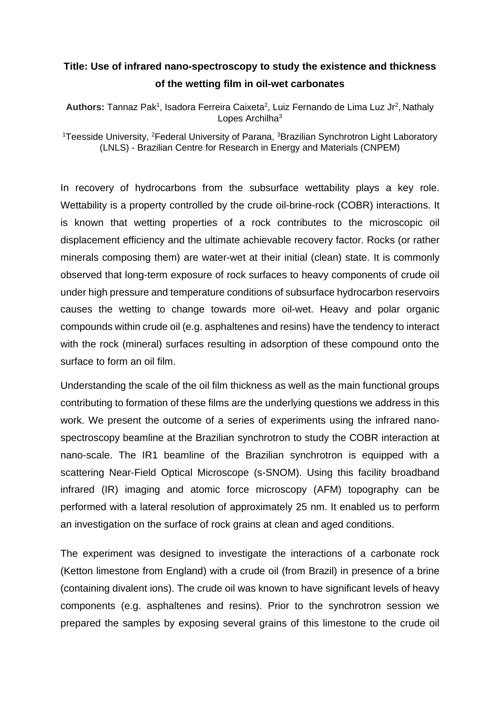## **Title: Use of infrared nano-spectroscopy to study the existence and thickness of the wetting film in oil-wet carbonates**

Authors: Tannaz Pak<sup>1</sup>, Isadora Ferreira Caixeta<sup>2</sup>, Luiz Fernando de Lima Luz Jr<sup>2</sup>, Nathaly Lopes Archilha<sup>3</sup>

<sup>1</sup>Teesside University, <sup>2</sup>Federal University of Parana, <sup>3</sup>Brazilian Synchrotron Light Laboratory (LNLS) - Brazilian Centre for Research in Energy and Materials (CNPEM)

In recovery of hydrocarbons from the subsurface wettability plays a key role. Wettability is a property controlled by the crude oil-brine-rock (COBR) interactions. It is known that wetting properties of a rock contributes to the microscopic oil displacement efficiency and the ultimate achievable recovery factor. Rocks (or rather minerals composing them) are water-wet at their initial (clean) state. It is commonly observed that long-term exposure of rock surfaces to heavy components of crude oil under high pressure and temperature conditions of subsurface hydrocarbon reservoirs causes the wetting to change towards more oil-wet. Heavy and polar organic compounds within crude oil (e.g. asphaltenes and resins) have the tendency to interact with the rock (mineral) surfaces resulting in adsorption of these compound onto the surface to form an oil film.

Understanding the scale of the oil film thickness as well as the main functional groups contributing to formation of these films are the underlying questions we address in this work. We present the outcome of a series of experiments using the infrared nanospectroscopy beamline at the Brazilian synchrotron to study the COBR interaction at nano-scale. The IR1 beamline of the Brazilian synchrotron is equipped with a scattering Near-Field Optical Microscope (s-SNOM). Using this facility broadband infrared (IR) imaging and atomic force microscopy (AFM) topography can be performed with a lateral resolution of approximately 25 nm. It enabled us to perform an investigation on the surface of rock grains at clean and aged conditions.

The experiment was designed to investigate the interactions of a carbonate rock (Ketton limestone from England) with a crude oil (from Brazil) in presence of a brine (containing divalent ions). The crude oil was known to have significant levels of heavy components (e.g. asphaltenes and resins). Prior to the synchrotron session we prepared the samples by exposing several grains of this limestone to the crude oil